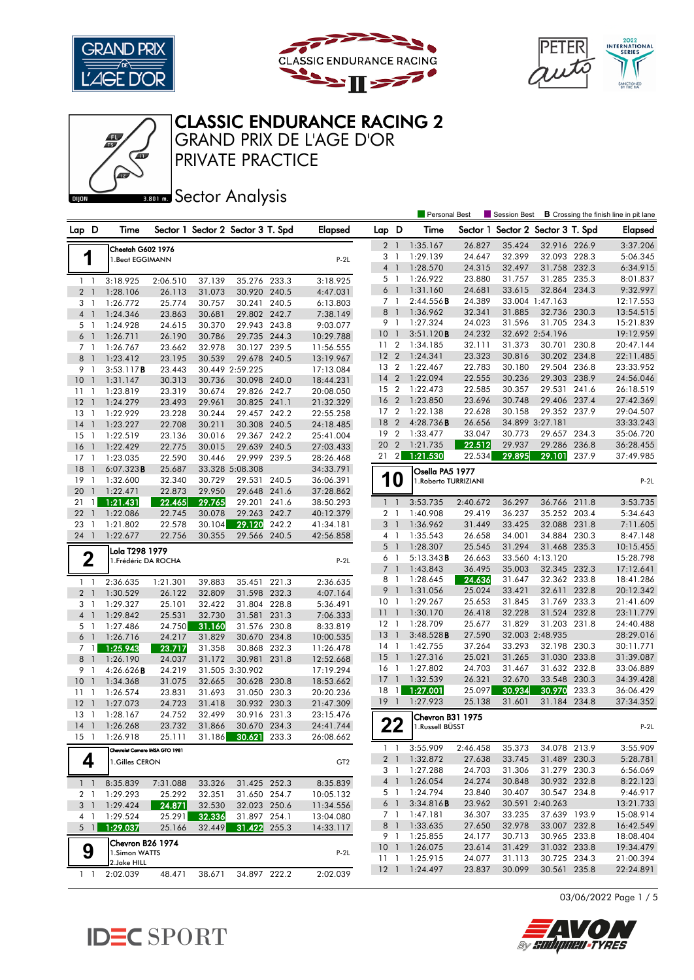





Personal Best **S** Session Best **B** Crossing the finish line in pit lane

## CLASSIC ENDURANCE RACING 2

PRIVATE PRACTICE GRAND PRIX DE L'AGE D'OR

**Bector Analysis** 

| Lap D                 |                | Time                              |                  | Sector 1 Sector 2 Sector 3 T. Spd |                              |       | Elapsed                | Lap D               |                | Time                                |                  |        | Sector 1 Sector 2 Sector 3 T. Spd |       | <b>Elapsed</b>         |
|-----------------------|----------------|-----------------------------------|------------------|-----------------------------------|------------------------------|-------|------------------------|---------------------|----------------|-------------------------------------|------------------|--------|-----------------------------------|-------|------------------------|
|                       |                | Cheetah G602 1976                 |                  |                                   |                              |       |                        | 2 <sub>1</sub>      |                | 1:35.167                            | 26.827           | 35.424 | 32.916 226.9                      |       | 3:37.206               |
| 1                     |                | 1.Beat EGGIMANN                   |                  |                                   |                              |       | $P-2L$                 | 3                   | $\mathbf{1}$   | 1:29.139                            | 24.647           | 32.399 | 32.093 228.3                      |       | 5:06.345               |
|                       |                |                                   |                  |                                   |                              |       |                        | $\overline{4}$      | $\overline{1}$ | 1:28.570                            | 24.315           | 32.497 | 31.758 232.3                      |       | 6:34.915               |
| $1\quad$              |                | 3:18.925                          | 2:06.510         | 37.139                            | 35.276 233.3                 |       | 3:18.925               | 5 1                 |                | 1:26.922                            | 23.880           | 31.757 | 31.285 235.3                      |       | 8:01.837               |
| 2 <sub>1</sub>        |                | 1:28.106                          | 26.113           | 31.073                            | 30.920 240.5                 |       | 4:47.031               | 6                   | $\overline{1}$ | 1:31.160                            | 24.681           | 33.615 | 32.864 234.3                      |       | 9:32.997               |
| 3 <sub>1</sub>        |                | 1:26.772                          | 25.774           | 30.757                            | 30.241 240.5                 |       | 6:13.803               | 7 1                 |                | 2:44.556B                           | 24.389           |        | 33.004 1:47.163                   |       | 12:17.553              |
| 4 1                   |                | 1:24.346                          | 23.863           | 30.681                            | 29.802 242.7                 |       | 7:38.149               | 8                   | $\overline{1}$ | 1:36.962                            | 32.341           | 31.885 | 32.736 230.3                      |       | 13:54.515              |
| 51                    |                | 1:24.928                          | 24.615           | 30.370                            | 29.943 243.8                 |       | 9:03.077               | 9 1                 |                | 1:27.324                            | 24.023           | 31.596 | 31.705 234.3                      |       | 15:21.839              |
| 6 1                   |                | 1:26.711                          | 26.190           | 30.786                            | 29.735 244.3                 |       | 10:29.788              | 10                  | $\overline{1}$ | 3:51.120B                           | 24.232           |        | 32.692 2:54.196                   |       | 19:12.959              |
| 7 <sub>1</sub>        |                | 1:26.767                          | 23.662           | 32.978                            | 30.127 239.5                 |       | 11:56.555              | 11 <sub>2</sub>     |                | 1:34.185                            | 32.111           | 31.373 | 30.701 230.8                      |       | 20:47.144              |
| 8                     | $\overline{1}$ | 1:23.412                          | 23.195           | 30.539                            | 29.678 240.5                 |       | 13:19.967              | 12 <sub>2</sub>     |                | 1:24.341                            | 23.323           | 30.816 | 30.202 234.8                      |       | 22:11.485              |
| 9 1                   |                | 3:53.117B                         | 23.443           |                                   | 30.449 2:59.225              |       | 17:13.084              | 13 2                |                | 1:22.467                            | 22.783           | 30.180 | 29.504 236.8                      |       | 23:33.952              |
| 10                    | $\overline{1}$ | 1:31.147                          | 30.313           | 30.736                            | 30.098 240.0                 |       | 18:44.231              | 14 <sub>2</sub>     |                | 1:22.094                            | 22.555           | 30.236 | 29.303 238.9                      |       | 24:56.046              |
| 11                    | $\overline{1}$ | 1:23.819                          | 23.319           | 30.674                            | 29.826 242.7                 |       | 20:08.050              | 15                  | $\overline{2}$ | 1:22.473                            | 22.585           | 30.357 | 29.531                            | 241.6 | 26:18.519              |
| 12                    | $\overline{1}$ | 1:24.279                          | 23.493           | 29.961                            | 30.825 241.1                 |       | 21:32.329              | 16 2                |                | 1:23.850                            | 23.696           | 30.748 | 29.406 237.4                      |       | 27:42.369              |
| 13                    | -1             | 1:22.929                          | 23.228           | 30.244                            | 29.457 242.2                 |       | 22:55.258              | 17 <sup>2</sup>     |                | 1:22.138                            | 22.628           | 30.158 | 29.352 237.9                      |       | 29:04.507              |
| 14                    | $\mathbf{1}$   | 1:23.227                          | 22.708           | 30.211                            | 30.308 240.5                 |       | 24:18.485              | 18                  | $\overline{2}$ | 4:28.736B                           | 26.656           |        | 34.899 3:27.181                   |       | 33:33.243              |
| 15                    | $\overline{1}$ | 1:22.519                          | 23.136           | 30.016                            | 29.367 242.2                 |       | 25:41.004              | 19 <sup>2</sup>     |                | 1:33.477                            | 33.047           | 30.773 | 29.657 234.3                      |       | 35:06.720              |
| 16                    | $\overline{1}$ | 1:22.429                          | 22.775           | 30.015                            | 29.639 240.5                 |       | 27:03.433              | 20 2                |                | 1:21.735                            | 22.512           | 29.937 | 29.286 236.8                      |       | 36:28.455              |
| 17                    | $\overline{1}$ | 1:23.035                          | 22.590           | 30.446                            | 29.999 239.5                 |       | 28:26.468              | 21                  | $\vert$ 2      | 1:21.530                            | 22.534           | 29.895 | 29.101                            | 237.9 | 37:49.985              |
| 18                    | $\overline{1}$ | 6:07.323B                         | 25.687           |                                   | 33.328 5:08.308              |       | 34:33.791              |                     |                | Osella PA5 1977                     |                  |        |                                   |       |                        |
| 19                    | $\mathbf{1}$   | 1:32.600                          | 32.340           | 30.729                            | 29.531 240.5                 |       | 36:06.391              |                     | 10             | 1. Roberto TURRIZIANI               |                  |        |                                   |       | $P-2L$                 |
| 20                    | $\mathbf{1}$   | 1:22.471                          | 22.873           | 29.950                            | 29.648 241.6                 |       | 37:28.862              |                     |                |                                     |                  |        |                                   |       |                        |
| 21                    | $\mathbf{1}$   | 1:21.431                          | 22.465           | 29.765                            | 29.201 241.6                 |       | 38:50.293              | $1-1$               |                | 3:53.735                            | 2:40.672         | 36.297 | 36.766 211.8                      |       | 3:53.735               |
| 22                    | $\overline{1}$ | 1:22.086                          | 22.745           | 30.078                            | 29.263                       | 242.7 | 40:12.379              | 2 <sub>1</sub>      |                | 1:40.908                            | 29.419           | 36.237 | 35.252 203.4                      |       | 5:34.643               |
| 23                    | -1             | 1:21.802                          | 22.578           | 30.104                            | 29.120                       | 242.2 | 41:34.181              | 3 <sup>1</sup>      |                | 1:36.962                            | 31.449           | 33.425 | 32.088 231.8                      |       | 7:11.605               |
| 24                    | $\overline{1}$ | 1:22.677                          | 22.756           | 30.355                            | 29.566 240.5                 |       | 42:56.858              | 4 1                 |                | 1:35.543                            | 26.658           | 34.001 | 34.884 230.3                      |       | 8:47.148               |
|                       |                | Lola T298 1979                    |                  |                                   |                              |       |                        | 5 <sub>1</sub>      | $\overline{1}$ | 1:28.307                            | 25.545           | 31.294 | 31.468 235.3                      |       | 10:15.455              |
| $\mathbf 2$           |                | 1. Frédéric DA ROCHA              |                  |                                   |                              |       | $P-2L$                 | 6<br>7 <sup>1</sup> |                | 5:13.343B<br>1:43.843               | 26.663<br>36.495 | 35.003 | 33.560 4:13.120<br>32.345 232.3   |       | 15:28.798<br>17:12.641 |
|                       |                |                                   |                  |                                   |                              |       |                        | 8 1                 |                | 1:28.645                            | 24.636           | 31.647 | 32.362 233.8                      |       | 18:41.286              |
| $1\quad$              |                | 2:36.635                          | 1:21.301         | 39.883                            | 35.451                       | 221.3 | 2:36.635               | 9                   | $\overline{1}$ | 1:31.056                            | 25.024           | 33.421 | 32.611                            | 232.8 | 20:12.342              |
| 2 <sub>1</sub>        |                | 1:30.529                          | 26.122           | 32.809                            | 31.598 232.3                 |       | 4:07.164               | 10                  | -1             | 1:29.267                            | 25.653           | 31.845 | 31.769 233.3                      |       | 21:41.609              |
| 3 <sub>1</sub>        |                | 1:29.327                          | 25.101           | 32.422                            | 31.804 228.8                 |       | 5:36.491               | 11                  | $\overline{1}$ | 1:30.170                            | 26.418           | 32.228 | 31.524 232.8                      |       | 23:11.779              |
| 4 1                   |                | 1:29.842                          | 25.531           | 32.730                            | 31.581                       | 231.3 | 7:06.333               | 12                  | $\overline{1}$ | 1:28.709                            | 25.677           | 31.829 | 31.203 231.8                      |       | 24:40.488              |
| 5 <sub>1</sub><br>6 1 |                | 1:27.486<br>1:26.716              | 24.750<br>24.217 | 31.160<br>31.829                  | 31.576 230.8<br>30.670 234.8 |       | 8:33.819<br>10:00.535  | 13                  | $\overline{1}$ | 3:48.528B                           | 27.590           |        | 32.003 2:48.935                   |       | 28:29.016              |
| 7 <sub>1</sub>        |                | 1:25.943                          | 23.717           | 31.358                            | 30.868 232.3                 |       |                        | $14-1$              |                | 1:42.755                            | 37.264           | 33.293 | 32.198 230.3                      |       | 30:11.771              |
| 8                     | $\overline{1}$ | 1:26.190                          | 24.037           | 31.172                            | 30.981 231.8                 |       | 11:26.478<br>12:52.668 | 15                  | $\overline{1}$ | 1:27.316                            | 25.021           | 31.265 | 31.030 233.8                      |       | 31:39.087              |
| 9                     | -1             | 4:26.626B                         | 24.219           |                                   | 31.505 3:30.902              |       | 17:19.294              | 16                  | $\overline{1}$ | 1:27.802                            | 24.703           | 31.467 | 31.632 232.8                      |       | 33:06.889              |
| 10                    | $\overline{1}$ | 1:34.368                          | 31.075           | 32.665                            | 30.628                       | 230.8 | 18:53.662              | 17                  | $\overline{1}$ | 1:32.539                            | 26.321           | 32.670 | 33.548 230.3                      |       | 34:39.428              |
| 11                    | $\mathbf{1}$   | 1:26.574                          | 23.831           | 31.693                            | 31.050 230.3                 |       | 20:20.236              | 18                  | $\overline{1}$ | 1:27.001                            | 25.097           | 30.934 | 30.970                            | 233.3 | 36:06.429              |
| 12                    | $\mathbf{1}$   | 1:27.073                          | 24.723           | 31.418                            | 30.932 230.3                 |       | 21:47.309              | 19                  | $\overline{1}$ | 1:27.923                            | 25.138           | 31.601 | 31.184 234.8                      |       | 37:34.352              |
| 13                    | -1             | 1:28.167                          | 24.752           | 32.499                            | 30.916 231.3                 |       | 23:15.476              |                     |                |                                     |                  |        |                                   |       |                        |
| 14                    | $\mathbf{1}$   | 1:26.268                          | 23.732           | 31.866                            | 30.670 234.3                 |       | 24:41.744              |                     | 22             | Chevron B31 1975<br>1.Russell BÜSST |                  |        |                                   |       | $P-2L$                 |
| $15-1$                |                | 1:26.918                          | 25.111           | 31.186                            | 30.621                       | 233.3 | 26:08.662              |                     |                |                                     |                  |        |                                   |       |                        |
|                       |                | Chevrolet Camaro IMSA GTO 1981    |                  |                                   |                              |       |                        |                     | $1\quad1$      | 3:55.909                            | 2:46.458         | 35.373 | 34.078 213.9                      |       | 3:55.909               |
| 4                     |                | 1.Gilles CERON                    |                  |                                   |                              |       | GT <sub>2</sub>        |                     |                | 2 1 1:32.872                        | 27.638           | 33.745 | 31.489 230.3                      |       | 5:28.781               |
|                       |                |                                   |                  |                                   |                              |       |                        | 3 1                 |                | 1:27.288                            | 24.703           | 31.306 | 31.279 230.3                      |       | 6:56.069               |
| $1\quad$              |                | 8:35.839                          | 7:31.088         | 33.326                            | 31.425 252.3                 |       | 8:35.839               |                     | 4 1            | 1:26.054                            | 24.274           | 30.848 | 30.932 232.8                      |       | 8:22.123               |
| 2 <sub>1</sub>        |                | 1:29.293                          | 25.292           | 32.351                            | 31.650 254.7                 |       | 10:05.132              |                     | 5 1            | 1:24.794                            | 23.840           | 30.407 | 30.547 234.8                      |       | 9:46.917               |
| 3 1                   |                | 1:29.424                          | 24.871           | 32.530                            | 32.023 250.6                 |       | 11:34.556              | 6 1                 |                | 3:34.816B                           | 23.962           |        | 30.591 2:40.263                   |       | 13:21.733              |
| 4 1                   |                | 1:29.524                          | 25.291           | 32.336                            | 31.897 254.1                 |       | 13:04.080              | 7 1                 |                | 1:47.181                            | 36.307           | 33.235 | 37.639 193.9                      |       | 15:08.914              |
| 5 <sup>1</sup>        |                | 1:29.037                          | 25.166           | 32.449                            | 31.422                       | 255.3 | 14:33.117              | 8 <sup>1</sup>      |                | 1:33.635                            | 27.650           | 32.978 | 33.007 232.8                      |       | 16:42.549              |
|                       |                |                                   |                  |                                   |                              |       |                        | 9 1                 |                | 1:25.855                            | 24.177           | 30.713 | 30.965 233.8                      |       | 18:08.404              |
| 9                     |                | Chevron B26 1974<br>1.Simon WATTS |                  |                                   |                              |       |                        |                     |                | 10 1 1:26.075                       | 23.614           | 31.429 | 31.032 233.8                      |       | 19:34.479              |
|                       |                | 2.Jake HILL                       |                  |                                   |                              |       | $P-2L$                 | $11-1$              |                | 1:25.915                            | 24.077           | 31.113 | 30.725 234.3                      |       | 21:00.394              |
| $1\quad$              |                | 2:02.039                          | 48.471           | 38.671                            | 34.897 222.2                 |       | 2:02.039               | $12-1$              |                | 1:24.497                            | 23.837           | 30.099 | 30.561 235.8                      |       | 22:24.891              |
|                       |                |                                   |                  |                                   |                              |       |                        |                     |                |                                     |                  |        |                                   |       |                        |

03/06/2022 Page 1 / 5



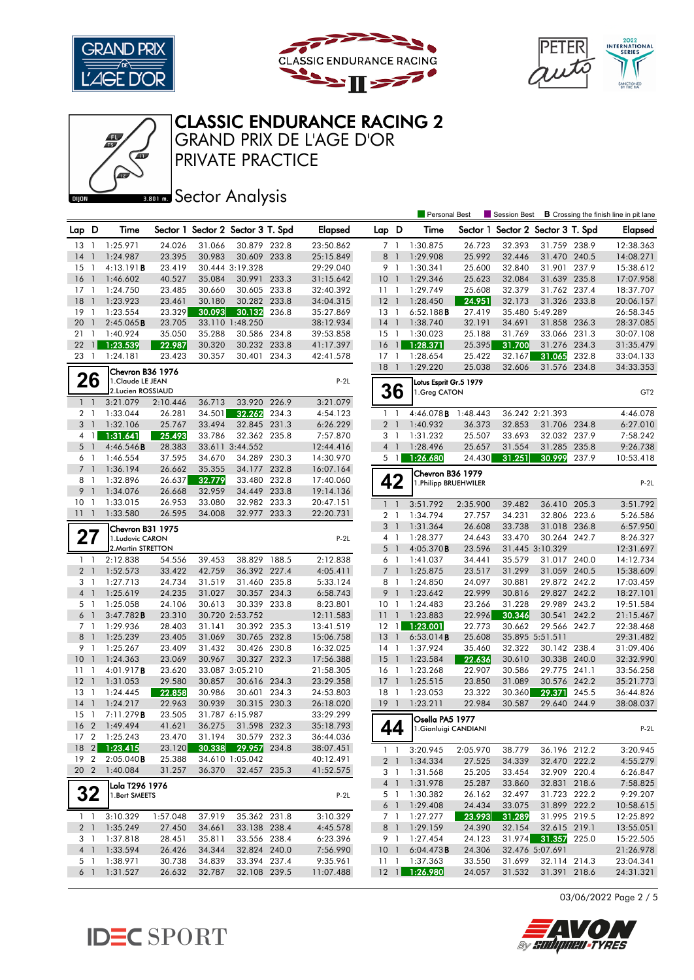





# CLASSIC ENDURANCE RACING 2

PRIVATE PRACTICE GRAND PRIX DE L'AGE D'OR

**BRONES** Sector Analysis

|                     |                                |                        |                  |                  |                                   |       |                        |                       |                | <b>Personal Best</b>   |                  | Session Best                      |                              |       | <b>B</b> Crossing the finish line in pit lane |
|---------------------|--------------------------------|------------------------|------------------|------------------|-----------------------------------|-------|------------------------|-----------------------|----------------|------------------------|------------------|-----------------------------------|------------------------------|-------|-----------------------------------------------|
| Lap D               |                                | Time                   |                  |                  | Sector 1 Sector 2 Sector 3 T. Spd |       | <b>Elapsed</b>         | Lap D                 |                | Time                   |                  | Sector 1 Sector 2 Sector 3 T. Spd |                              |       | Elapsed                                       |
| 13                  | $\overline{1}$                 | 1:25.971               | 24.026           | 31.066           | 30.879 232.8                      |       | 23:50.862              | 7 <sub>1</sub>        |                | 1:30.875               | 26.723           | 32.393                            | 31.759 238.9                 |       | 12:38.363                                     |
| 14                  | $\mathbf{1}$                   | 1:24.987               | 23.395           | 30.983           | 30.609 233.8                      |       | 25:15.849              | 8                     | $\overline{1}$ | 1:29.908               | 25.992           | 32.446                            | 31.470 240.5                 |       | 14:08.271                                     |
| 15                  | -1                             | 4:13.191B              | 23.419           |                  | 30.444 3:19.328                   |       | 29:29.040              | 9 1                   |                | 1:30.341               | 25.600           | 32.840                            | 31.901 237.9                 |       | 15:38.612                                     |
| 16                  | $\mathbf{1}$                   | 1:46.602               | 40.527           | 35.084           | 30.991 233.3                      |       | 31:15.642              | 10                    | $\overline{1}$ | 1:29.346               | 25.623           | 32.084                            | 31.639 235.8                 |       | 17:07.958                                     |
| 17                  | $\overline{1}$                 | 1:24.750               | 23.485           | 30.660           | 30.605 233.8                      |       | 32:40.392              | $11-1$                |                | 1:29.749               | 25.608           | 32.379                            | 31.762 237.4                 |       | 18:37.707                                     |
| 18                  | $\overline{1}$                 | 1:23.923               | 23.461           | 30.180           | 30.282 233.8                      |       | 34:04.315              | $12-1$                |                | 1:28.450               | 24.951           | 32.173                            | 31.326 233.8                 |       | 20:06.157                                     |
| 19                  | $\overline{1}$                 | 1:23.554               | 23.329           | 30.093           | 30.132                            | 236.8 | 35:27.869              | 13                    | $\overline{1}$ | 6:52.188B              | 27.419           |                                   | 35.480 5:49.289              |       | 26:58.345                                     |
| 20                  | $\mathbf{1}$                   | 2:45.065B              | 23.705           |                  | 33.110 1:48.250                   |       | 38:12.934              | 14                    | $\overline{1}$ | 1:38.740               | 32.191           | 34.691                            | 31.858 236.3                 |       | 28:37.085                                     |
| 21                  | $\mathbf{1}$                   | 1:40.924               | 35.050           | 35.288           | 30.586 234.8                      |       | 39:53.858              | 15                    | -1             | 1:30.023               | 25.188           | 31.769                            | 33.066 231.3                 |       | 30:07.108                                     |
| 22                  | $\mathbf{1}$                   | 1:23.539               | 22.987           | 30.320           | 30.232                            | 233.8 | 41:17.397              | 16                    | $\overline{1}$ | 1:28.371               | 25.395           | 31.700                            | 31.276 234.3                 |       | 31:35.479                                     |
| 23                  | $\overline{1}$                 | 1:24.181               | 23.423           | 30.357           | 30.401 234.3                      |       | 42:41.578              | $17-1$                |                | 1:28.654               | 25.422           | 32.167                            | 31.065                       | 232.8 | 33:04.133                                     |
|                     |                                | Chevron B36 1976       |                  |                  |                                   |       |                        | 18                    | $\overline{1}$ | 1:29.220               | 25.038           | 32.606                            | 31.576 234.8                 |       | 34:33.353                                     |
|                     | 26                             | 1. Claude LE JEAN      |                  |                  |                                   |       | $P-2L$                 |                       |                | Lotus Esprit Gr.5 1979 |                  |                                   |                              |       |                                               |
|                     |                                | 2.Lucien ROSSIAUD      |                  |                  |                                   |       |                        | 36                    |                | 1.Greg CATON           |                  |                                   |                              |       | GT <sub>2</sub>                               |
| $1\quad$            |                                | 3:21.079               | 2:10.446         | 36.713           | 33.920                            | 226.9 | 3:21.079               |                       |                |                        |                  |                                   |                              |       |                                               |
| 2 1                 |                                | 1:33.044               | 26.281           | 34.501           | 32.262                            | 234.3 | 4:54.123               | $1\quad$              |                | 4:46.078 <b>B</b>      | 1:48.443         |                                   | 36.242 2:21.393              |       | 4:46.078                                      |
| 3 <sub>1</sub><br>4 | $\mathbf{1}$                   | 1:32.106<br>1:31.641   | 25.767<br>25.493 | 33.494<br>33.786 | 32.845 231.3<br>32.362 235.8      |       | 6:26.229<br>7:57.870   | 2 <sub>1</sub><br>3 1 |                | 1:40.932<br>1:31.232   | 36.373<br>25.507 | 32.853<br>33.693                  | 31.706 234.8<br>32.032 237.9 |       | 6:27.010                                      |
| 5 <sub>1</sub>      |                                | 4:46.546B              | 28.383           |                  | 33.611 3:44.552                   |       | 12:44.416              | 4 <sup>1</sup>        |                | 1:28.496               | 25.657           | 31.554                            | 31.285 235.8                 |       | 7:58.242<br>9:26.738                          |
| 6 1                 |                                | 1:46.554               | 37.595           | 34.670           | 34.289 230.3                      |       | 14:30.970              | $5 \vert 1 \vert$     |                | 1:26.680               | 24.430           | 31.251                            | 30.999                       | 237.9 | 10:53.418                                     |
| $\overline{7}$      | $\overline{1}$                 | 1:36.194               | 26.662           | 35.355           | 34.177                            | 232.8 | 16:07.164              |                       |                |                        |                  |                                   |                              |       |                                               |
| 81                  |                                | 1:32.896               | 26.637           | 32.779           | 33.480 232.8                      |       | 17:40.060              | 42                    |                | Chevron B36 1979       |                  |                                   |                              |       |                                               |
| 9                   | $\overline{1}$                 | 1:34.076               | 26.668           | 32.959           | 34.449 233.8                      |       | 19:14.136              |                       |                | 1. Philipp BRUEHWILER  |                  |                                   |                              |       | $P-2L$                                        |
| 10                  | -1                             | 1:33.015               | 26.953           | 33.080           | 32.982 233.3                      |       | 20:47.151              | $\mathbf{1}$          | $\overline{1}$ | 3:51.792               | 2:35.900         | 39.482                            | 36.410                       | 205.3 | 3:51.792                                      |
| 111                 |                                | 1:33.580               | 26.595           | 34.008           | 32.977 233.3                      |       | 22:20.731              | 2 <sub>1</sub>        |                | 1:34.794               | 27.757           | 34.231                            | 32.806 223.6                 |       | 5:26.586                                      |
|                     |                                | Chevron B31 1975       |                  |                  |                                   |       |                        | 3 <sup>1</sup>        |                | 1:31.364               | 26.608           | 33.738                            | 31.018 236.8                 |       | 6:57.950                                      |
| 27                  |                                | 1.Ludovic CARON        |                  |                  |                                   |       | $P-2L$                 | 4 1                   |                | 1:28.377               | 24.643           | 33.470                            | 30.264 242.7                 |       | 8:26.327                                      |
|                     |                                | 2. Martin STRETTON     |                  |                  |                                   |       |                        | 5                     | $\overline{1}$ | 4:05.370B              | 23.596           |                                   | 31.445 3:10.329              |       | 12:31.697                                     |
| $\mathbf{1}$        | $\overline{1}$                 | 2:12.838               | 54.556           | 39.453           | 38.829                            | 188.5 | 2:12.838               | 6                     | $\overline{1}$ | 1:41.037               | 34.441           | 35.579                            | 31.017 240.0                 |       | 14:12.734                                     |
| 2 <sub>1</sub>      |                                | 1:52.573               | 33.422           | 42.759           | 36.392 227.4                      |       | 4:05.411               | 7 <sub>1</sub>        |                | 1:25.875               | 23.517           | 31.299                            | 31.059 240.5                 |       | 15:38.609                                     |
| 3 1                 |                                | 1:27.713               | 24.734           | 31.519           | 31.460 235.8                      |       | 5:33.124               | 8 1                   |                | 1:24.850               | 24.097           | 30.881                            | 29.872 242.2                 |       | 17:03.459                                     |
| $\overline{4}$      | $\overline{1}$                 | 1:25.619               | 24.235           | 31.027           | 30.357 234.3                      |       | 6:58.743               | 9                     | $\overline{1}$ | 1:23.642               | 22.999           | 30.816                            | 29.827 242.2                 |       | 18:27.101                                     |
| 5 1                 |                                | 1:25.058               | 24.106           | 30.613           | 30.339 233.8                      |       | 8:23.801               | $10-1$                |                | 1:24.483               | 23.266           | 31.228                            | 29.989 243.2                 |       | 19:51.584                                     |
| 6 1                 |                                | 3:47.782B              | 23.310           |                  | 30.720 2:53.752                   |       | 12:11.583              | 11                    | $\overline{1}$ | 1:23.883               | 22.996           | 30.346                            | 30.541 242.2                 |       | 21:15.467                                     |
| 7 <sub>1</sub>      |                                | 1:29.936               | 28.403           | 31.141           | 30.392 235.3                      |       | 13:41.519              | $12 \quad 1$          |                | 1:23.001               | 22.773           | 30.662                            | 29.566 242.7                 |       | 22:38.468                                     |
| 8                   | $\overline{1}$                 | 1:25.239               | 23.405           | 31.069           | 30.765 232.8                      |       | 15:06.758              | 13                    | $\overline{1}$ | 6:53.014B              | 25.608           |                                   | 35.895 5:51.511              |       | 29:31.482                                     |
| 9                   | $\overline{1}$                 | 1:25.267               | 23.409           | 31.432           | 30.426 230.8                      |       | 16:32.025              | $14-1$                |                | 1:37.924               | 35.460           | 32.322                            | 30.142 238.4                 |       | 31:09.406                                     |
| 10                  | $\mathbf{1}$                   | 1:24.363               | 23.069           | 30.967           | 30.327 232.3                      |       | 17:56.388              | 15                    | $\overline{1}$ | 1:23.584               | 22.636           | 30.610                            | 30.338 240.0                 |       | 32:32.990                                     |
| 11                  | 1                              | 4:01.917 <b>B</b>      | 23.620           |                  | 33.087 3:05.210                   |       | 21:58.305              | 16                    | $\overline{1}$ | 1:23.268               | 22.907           | 30.586                            | 29.775 241.1                 |       | 33:56.258                                     |
| 12                  | $\overline{1}$                 | 1:31.053               | 29.580           | 30.857           | 30.616 234.3<br>30.601            |       | 23:29.358              | 17                    | $\overline{1}$ | 1:25.515               | 23.850           | 31.089                            | 30.576 242.2                 |       | 35:21.773                                     |
| 13<br>14            | $\overline{1}$<br>$\mathbf{1}$ | 1:24.445<br>1:24.217   | 22.858<br>22.963 | 30.986<br>30.939 | 30.315 230.3                      | 234.3 | 24:53.803<br>26:18.020 | 18<br>$19-1$          | $\overline{1}$ | 1:23.053<br>1:23.211   | 23.322<br>22.984 | 30.360<br>30.587                  | 29.371<br>29.640 244.9       | 245.5 | 36:44.826<br>38:08.037                        |
| 15                  | -1                             | 7:11.279B              | 23.505           |                  | 31.787 6:15.987                   |       | 33:29.299              |                       |                |                        |                  |                                   |                              |       |                                               |
| 16 2                |                                | 1:49.494               | 41.621           | 36.275           | 31.598 232.3                      |       | 35:18.793              |                       |                | Osella PA5 1977        |                  |                                   |                              |       |                                               |
|                     |                                | 17 2 1:25.243          | 23.470           | 31.194           | 30.579 232.3                      |       | 36:44.036              | 44                    |                | 1. Gianluigi CANDIANI  |                  |                                   |                              |       | $P-2L$                                        |
|                     |                                | 18 2 1:23.415          | 23.120           | 30.338           | 29.957 234.8                      |       | 38:07.451              | $1\quad1$             |                | 3:20.945               | 2:05.970         | 38.779                            | 36.196 212.2                 |       | 3:20.945                                      |
|                     |                                | 19 2 2:05.040 <b>B</b> | 25.388           |                  | 34.610 1:05.042                   |       | 40:12.491              |                       | 2 <sup>1</sup> | 1:34.334               | 27.525           | 34.339                            | 32.470 222.2                 |       | 4:55.279                                      |
| 20 2                |                                | 1:40.084               | 31.257           | 36.370           | 32.457 235.3                      |       | 41:52.575              |                       | 3 1            | 1:31.568               | 25.205           | 33.454                            | 32.909 220.4                 |       | 6:26.847                                      |
|                     |                                | Lola T296 1976         |                  |                  |                                   |       |                        |                       |                | 4 1 1:31.978           | 25.287           | 33.860                            | 32.831 218.6                 |       | 7:58.825                                      |
| 32                  |                                | 1.Bert SMEETS          |                  |                  |                                   |       | $P-2L$                 |                       |                | 5 1 1:30.382           | 26.162           | 32.497                            | 31.723 222.2                 |       | 9:29.207                                      |
|                     |                                |                        |                  |                  |                                   |       |                        |                       | 6 1            | 1:29.408               | 24.434           | 33.075                            | 31.899 222.2                 |       | 10:58.615                                     |
|                     | $1\quad1$                      | 3:10.329               | 1:57.048         | 37.919           | 35.362 231.8                      |       | 3:10.329               | 7 1                   |                | 1:27.277               | 23.993           | 31.289                            | 31.995 219.5                 |       | 12:25.892                                     |
| 2 <sub>1</sub>      |                                | 1:35.249               | 27.450           | 34.661           | 33.138 238.4                      |       | 4:45.578               |                       |                | 8 1 1:29.159           | 24.390           | 32.154                            | 32.615 219.1                 |       | 13:55.051                                     |
| 3 1                 |                                | 1:37.818               | 28.451           | 35.811           | 33.556 238.4                      |       | 6:23.396               |                       |                | 9 1 1:27.454           | 24.123           |                                   | 31.974 31.357 225.0          |       | 15:22.505                                     |
| $4 \quad 1$         |                                | 1:33.594               | 26.426           | 34.344           | 32.824 240.0                      |       | 7:56.990               |                       |                | 10 1 6:04.473 <b>B</b> | 24.306           |                                   | 32.476 5:07.691              |       | 21:26.978                                     |
| 5 1                 |                                | 1:38.971               | 30.738           | 34.839           | 33.394 237.4                      |       | 9:35.961               |                       |                | 11 1:37.363            | 33.550           | 31.699                            | 32.114 214.3                 |       | 23:04.341                                     |
| 6 1                 |                                | 1:31.527               | 26.632           | 32.787           | 32.108 239.5                      |       | 11:07.488              |                       |                | 12 1 1:26.980          | 24.057           | 31.532                            | 31.391 218.6                 |       | 24:31.321                                     |

03/06/2022 Page 2 / 5



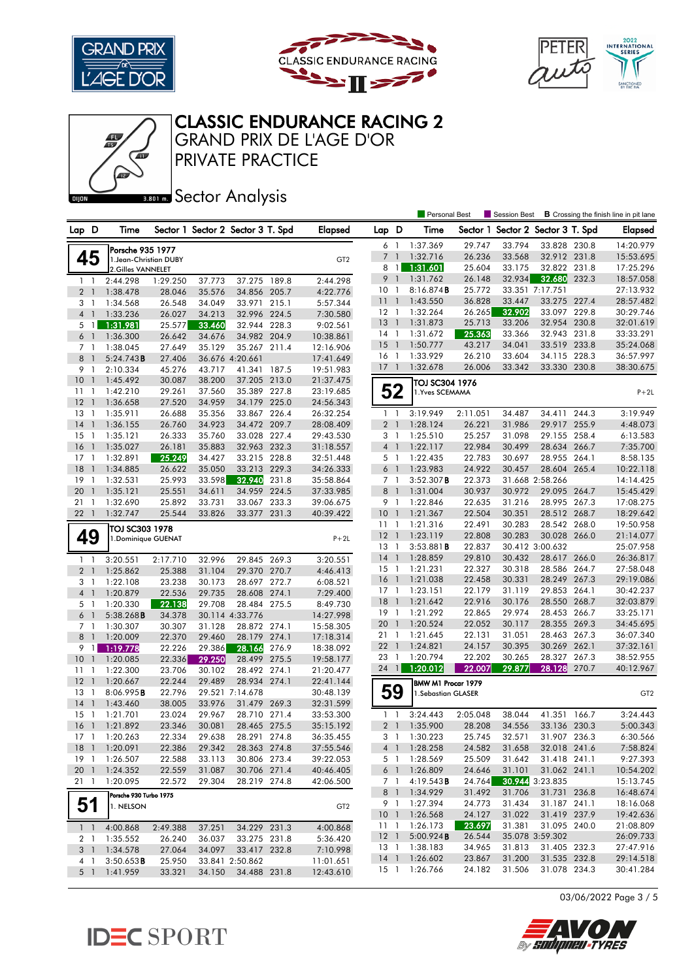

Œ





Personal Best **S** Session Best **B** Crossing the finish line in pit lane

# CLASSIC ENDURANCE RACING 2

PRIVATE PRACTICE GRAND PRIX DE L'AGE D'OR

**BRONES** Sector Analysis

| Lap D |                | Time                                  |          |        | Sector 1 Sector 2 Sector 3 T. Spd |       | <b>Elapsed</b>  | Lap D           |                | Time                  |          |        | Sector 1 Sector 2 Sector 3 T. Spd |       | <b>Elapsed</b>  |
|-------|----------------|---------------------------------------|----------|--------|-----------------------------------|-------|-----------------|-----------------|----------------|-----------------------|----------|--------|-----------------------------------|-------|-----------------|
|       |                | Porsche 935 1977                      |          |        |                                   |       |                 | 6               | $\overline{1}$ | 1:37.369              | 29.747   | 33.794 | 33.828 230.8                      |       | 14:20.979       |
|       | 45             | 1. Jean-Christian DUBY                |          |        |                                   |       | GT <sub>2</sub> | 7 1             |                | 1:32.716              | 26.236   | 33.568 | 32.912 231.8                      |       | 15:53.695       |
|       |                | 2.Gilles VANNELET                     |          |        |                                   |       |                 | 8               | $\overline{1}$ | 1:31.601              | 25.604   | 33.175 | 32.822 231.8                      |       | 17:25.296       |
|       | 1 <sub>1</sub> | 2:44.298                              | 1:29.250 | 37.773 | 37.275                            | 189.8 | 2:44.298        | 9 1             |                | 1:31.762              | 26.148   | 32.934 | 32.680                            | 232.3 | 18:57.058       |
|       | 2 <sub>1</sub> | 1:38.478                              | 28.046   | 35.576 | 34.856                            | 205.7 | 4:22.776        | 10              | -1             | 8:16.874B             | 25.772   |        | 33.351 7:17.751                   |       | 27:13.932       |
| 3     | - 1            | 1:34.568                              | 26.548   | 34.049 | 33.971                            | 215.1 | 5:57.344        | 11              | $\overline{1}$ | 1:43.550              | 36.828   | 33.447 | 33.275 227.4                      |       | 28:57.482       |
|       | 4 <sup>1</sup> | 1:33.236                              | 26.027   | 34.213 | 32.996 224.5                      |       | 7:30.580        | $12-1$          |                | 1:32.264              | 26.265   | 32.902 | 33.097 229.8                      |       | 30:29.746       |
|       | 5 <sub>1</sub> | 1:31.981                              | 25.577   | 33.460 | 32.944 228.3                      |       | 9:02.561        | 13              | $\overline{1}$ | 1:31.873              | 25.713   | 33.206 | 32.954 230.8                      |       | 32:01.619       |
|       | 6 <sup>1</sup> | 1:36.300                              | 26.642   | 34.676 | 34.982 204.9                      |       | 10:38.861       | $14-1$          |                | 1:31.672              | 25.363   | 33.366 | 32.943 231.8                      |       | 33:33.291       |
|       | 7 <sup>1</sup> | 1:38.045                              | 27.649   | 35.129 | 35.267 211.4                      |       | 12:16.906       | -15             | $\overline{1}$ | 1:50.777              | 43.217   | 34.041 | 33.519                            | 233.8 | 35:24.068       |
| 8     | $\overline{1}$ | 5:24.743B                             | 27.406   |        | 36.676 4:20.661                   |       | 17:41.649       | 16              | -1             | 1:33.929              | 26.210   | 33.604 | 34.115 228.3                      |       | 36:57.997       |
|       | 9 1            | 2:10.334                              | 45.276   | 43.717 | 41.341 187.5                      |       | 19:51.983       | 17              | $\overline{1}$ | 1:32.678              | 26.006   | 33.342 | 33.330 230.8                      |       | 38:30.675       |
| 10    | $\overline{1}$ | 1:45.492                              | 30.087   | 38.200 | 37.205 213.0                      |       | 21:37.475       |                 |                | TOJ SC304 1976        |          |        |                                   |       |                 |
| 11    | -1             | 1:42.210                              | 29.261   | 37.560 | 35.389 227.8                      |       | 23:19.685       | 52              |                | 1. Yves SCEMAMA       |          |        |                                   |       | $P+2L$          |
| 12    | $\overline{1}$ | 1:36.658                              | 27.520   | 34.959 | 34.179 225.0                      |       | 24:56.343       |                 |                |                       |          |        |                                   |       |                 |
| 13    | $\overline{1}$ | 1:35.911                              | 26.688   | 35.356 | 33.867 226.4                      |       | 26:32.254       | $1\quad$        |                | 3:19.949              | 2:11.051 | 34.487 | 34.411                            | 244.3 | 3:19.949        |
| 14    | $\overline{1}$ | 1:36.155                              | 26.760   | 34.923 | 34.472 209.7                      |       | 28:08.409       | 2 <sub>1</sub>  |                | 1:28.124              | 26.221   | 31.986 | 29.917 255.9                      |       | 4:48.073        |
| 15    | -1             | 1:35.121                              | 26.333   | 35.760 | 33.028 227.4                      |       | 29:43.530       | 3               | -1             | 1:25.510              | 25.257   | 31.098 | 29.155 258.4                      |       | 6:13.583        |
| 16    | $\overline{1}$ | 1:35.027                              | 26.181   | 35.883 | 32.963 232.3                      |       | 31:18.557       | 4 <sup>1</sup>  |                | 1:22.117              | 22.984   | 30.499 | 28.634 266.7                      |       | 7:35.700        |
| 17    | -1             | 1:32.891                              | 25.249   | 34.427 | 33.215 228.8                      |       | 32:51.448       | 5 1             |                | 1:22.435              | 22.783   | 30.697 | 28.955                            | 264.1 | 8:58.135        |
| 18    | $\overline{1}$ | 1:34.885                              | 26.622   | 35.050 | 33.213 229.3                      |       | 34:26.333       | 6 <sup>1</sup>  |                | 1:23.983              | 24.922   | 30.457 | 28.604 265.4                      |       | 10:22.118       |
| 19    | $\overline{1}$ | 1:32.531                              | 25.993   | 33.598 | 32.940                            | 231.8 | 35:58.864       | 7 <sup>1</sup>  |                | $3:52.307$ <b>B</b>   | 22.373   |        | 31.668 2:58.266                   |       | 14:14.425       |
| 20    | $\overline{1}$ | 1:35.121                              | 25.551   | 34.611 | 34.959                            | 224.5 | 37:33.985       | 8               | $\blacksquare$ | 1:31.004              | 30.937   | 30.972 | 29.095 264.7                      |       | 15:45.429       |
| 211   |                | 1:32.690                              | 25.892   | 33.731 | 33.067 233.3                      |       | 39:06.675       | 9 1             |                | 1:22.846              | 22.635   | 31.216 | 28.995 267.3                      |       | 17:08.275       |
| 221   |                | 1:32.747                              | 25.544   | 33.826 | 33.377 231.3                      |       | 40:39.422       | 10 <sup>°</sup> | -1             | 1:21.367              | 22.504   | 30.351 | 28.512 268.7                      |       | 18:29.642       |
|       |                |                                       |          |        |                                   |       |                 | 11              | $\overline{1}$ | 1:21.316              | 22.491   | 30.283 | 28.542 268.0                      |       | 19:50.958       |
|       | 49             | TOJ SC303 1978<br>1. Dominique GUENAT |          |        |                                   |       | $P+2L$          | $12-1$          |                | 1:23.119              | 22.808   | 30.283 | 30.028 266.0                      |       | 21:14.077       |
|       |                |                                       |          |        |                                   |       |                 | 13              | $\overline{1}$ | 3:53.881B             | 22.837   |        | 30.412 3:00.632                   |       | 25:07.958       |
|       | $1\quad$       | 3:20.551                              | 2:17.710 | 32.996 | 29.845 269.3                      |       | 3:20.551        | 14              | $\overline{1}$ | 1:28.859              | 29.810   | 30.432 | 28.617 266.0                      |       | 26:36.817       |
|       | 2 <sub>1</sub> | 1:25.862                              | 25.388   | 31.104 | 29.370 270.7                      |       | 4:46.413        | 15              | $\overline{1}$ | 1:21.231              | 22.327   | 30.318 | 28.586 264.7                      |       | 27:58.048       |
|       | 3 <sub>1</sub> | 1:22.108                              | 23.238   | 30.173 | 28.697 272.7                      |       | 6:08.521        | 16              | $\overline{1}$ | 1:21.038              | 22.458   | 30.331 | 28.249 267.3                      |       | 29:19.086       |
|       | 4 <sup>1</sup> | 1:20.879                              | 22.536   | 29.735 | 28.608 274.1                      |       | 7:29.400        | 17              | $\overline{1}$ | 1:23.151              | 22.179   | 31.119 | 29.853 264.1                      |       | 30:42.237       |
|       | 5 <sub>1</sub> | 1:20.330                              | 22.138   | 29.708 | 28.484 275.5                      |       | 8:49.730        | 18              | $\overline{1}$ | 1:21.642              | 22.916   | 30.176 | 28.550 268.7                      |       | 32:03.879       |
|       | 6 <sup>1</sup> | 5:38.268B                             | 34.378   |        | 30.114 4:33.776                   |       | 14:27.998       | $19-1$          |                | 1:21.292              | 22.865   | 29.974 | 28.453 266.7                      |       | 33:25.171       |
|       | 7 <sub>1</sub> | 1:30.307                              | 30.307   | 31.128 | 28.872                            | 274.1 | 15:58.305       | 20              | $\overline{1}$ | 1:20.524              | 22.052   | 30.117 | 28.355 269.3                      |       | 34:45.695       |
| 8     | $\overline{1}$ | 1:20.009                              | 22.370   | 29.460 | 28.179 274.1                      |       | 17:18.314       | $21 \quad 1$    |                | 1:21.645              | 22.131   | 31.051 | 28.463 267.3                      |       | 36:07.340       |
| 9     | $\overline{1}$ | 1:19.778                              | 22.226   | 29.386 | 28.166                            | 276.9 | 18:38.092       | 22              | $\overline{1}$ | 1:24.821              | 24.157   | 30.395 | 30.269 262.1                      |       | 37:32.161       |
| 10    | $\overline{1}$ | 1:20.085                              | 22.336   | 29.250 | 28.499                            | 275.5 | 19:58.177       | 23              | $\overline{1}$ | 1:20.794              | 22.202   | 30.265 | 28.327 267.3                      |       | 38:52.955       |
| 11    | -1             | 1:22.300                              | 23.706   | 30.102 | 28.492 274.1                      |       | 21:20.477       | $24 \quad 1$    |                | 1:20.012              | 22.007   | 29.877 | 28.128                            | 270.7 | 40:12.967       |
| 12    | $\mathbf{1}$   | 1:20.667                              | 22.244   | 29.489 | 28.934 274.1                      |       | 22:41.144       |                 |                | BMW M1 Procar 1979    |          |        |                                   |       |                 |
| 13    | -1             | 8:06.995B                             | 22.796   |        | 29.521 7:14.678                   |       | 30:48.139       | 59              |                | 1. Sebastian GLASER   |          |        |                                   |       | GT <sub>2</sub> |
| 14    | $\overline{1}$ | 1:43.460                              | 38.005   | 33.976 | 31.479 269.3                      |       | 32:31.599       |                 |                |                       |          |        |                                   |       |                 |
| 15    | $\overline{1}$ | 1:21.701                              | 23.024   | 29.967 | 28.710 271.4                      |       | 33:53.300       | $1\quad$        |                | 3:24.443              | 2:05.048 | 38.044 | 41.351                            | 166.7 | 3:24.443        |
| 16    | $\overline{1}$ | 1:21.892                              | 23.346   | 30.081 | 28.465 275.5                      |       | 35:15.192       | 2 <sub>1</sub>  |                | 1:35.900              | 28.208   | 34.556 | 33.136 230.3                      |       | 5:00.343        |
| 17    | $\overline{1}$ | 1:20.263                              | 22.334   | 29.638 | 28.291 274.8                      |       | 36:35.455       | 3               | $\overline{1}$ | 1:30.223              | 25.745   | 32.571 | 31.907 236.3                      |       | 6:30.566        |
|       |                | 18 1 1:20.091                         | 22.386   | 29.342 | 28.363 274.8                      |       | 37:55.546       |                 |                | 4 1 1:28.258          | 24.582   | 31.658 | 32.018 241.6                      |       | 7:58.824        |
|       | $19-1$         | 1:26.507                              | 22.588   | 33.113 | 30.806 273.4                      |       | 39:22.053       | 5 1             |                | 1:28.569              | 25.509   | 31.642 | 31.418 241.1                      |       | 9:27.393        |
|       | 20 1           | 1:24.352                              | 22.559   | 31.087 | 30.706 271.4                      |       | 40:46.405       |                 |                | 6 1 1:26.809          | 24.646   | 31.101 | 31.062 241.1                      |       | 10:54.202       |
|       | 211            | 1:20.095                              | 22.572   | 29.304 | 28.219 274.8                      |       | 42:06.500       |                 |                | 7 1 4:19.543 <b>B</b> | 24.764   |        | 30.944 3:23.835                   |       | 15:13.745       |
|       |                |                                       |          |        |                                   |       |                 |                 |                | 8 1 1:34.929          | 31.492   | 31.706 | 31.731 236.8                      |       | 16:48.674       |
|       | 51             | Porsche 930 Turbo 1975                |          |        |                                   |       |                 | 9 1             |                | 1:27.394              | 24.773   | 31.434 | 31.187 241.1                      |       | 18:16.068       |
|       |                | 1. NELSON                             |          |        |                                   |       | GT <sub>2</sub> | 10 <sub>1</sub> |                | 1:26.568              | 24.127   | 31.022 | 31.419 237.9                      |       | 19:42.636       |
|       | $1\quad$       | 4:00.868                              | 2:49.388 | 37.251 | 34.229 231.3                      |       | 4:00.868        | $11-1$          |                | 1:26.173              | 23.697   | 31.381 | 31.095 240.0                      |       | 21:08.809       |
|       | 2 1            | 1:35.552                              | 26.240   | 36.037 | 33.275 231.8                      |       | 5:36.420        | 12 <sup>1</sup> |                | 5:00.924B             | 26.544   |        | 35.078 3:59.302                   |       | 26:09.733       |
|       |                | 3 1 1:34.578                          | 27.064   | 34.097 | 33.417 232.8                      |       | 7:10.998        |                 |                | 13 1 1:38.183         | 34.965   | 31.813 | 31.405 232.3                      |       | 27:47.916       |
|       | $4-1$          | 3:50.653B                             | 25.950   |        | 33.841 2:50.862                   |       | 11:01.651       |                 |                | 14 1 1:26.602         | 23.867   | 31.200 | 31.535 232.8                      |       | 29:14.518       |
|       | $5-1$          | 1:41.959                              | 33.321   | 34.150 | 34.488 231.8                      |       | 12:43.610       |                 |                | 15 1 1:26.766         | 24.182   | 31.506 | 31.078 234.3                      |       | 30:41.284       |

03/06/2022 Page 3 / 5



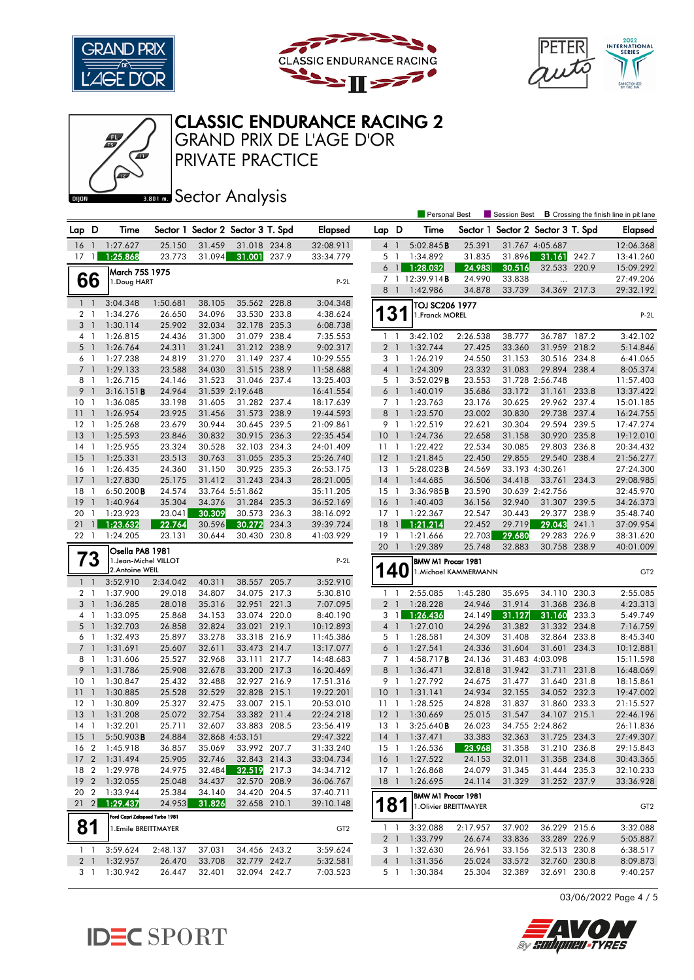

Œ





Personal Best **S** Session Best **B** Crossing the finish line in pit lane

# CLASSIC ENDURANCE RACING 2

PRIVATE PRACTICE GRAND PRIX DE L'AGE D'OR

**BRONES** Sector Analysis

| Lap D                            |                | Time                           |                  |                  | Sector 1 Sector 2 Sector 3 T. Spd |       | <b>Elapsed</b>       | Lap D           |                | Time                     |                    |                  | Sector 1 Sector 2 Sector 3 T. Spd |       | <b>Elapsed</b>       |
|----------------------------------|----------------|--------------------------------|------------------|------------------|-----------------------------------|-------|----------------------|-----------------|----------------|--------------------------|--------------------|------------------|-----------------------------------|-------|----------------------|
| 16                               | $\overline{1}$ | 1:27.627                       | 25.150           | 31.459           | 31.018 234.8                      |       | 32:08.911            | 4               | $\overline{1}$ | 5:02.845B                | 25.391             |                  | 31.767 4:05.687                   |       | 12:06.368            |
| $17-1$                           |                | 1:25.868                       | 23.773           | 31.094           | 31.001                            | 237.9 | 33:34.779            | 5 1             |                | 1:34.892                 | 31.835             | 31.896           | 31.161                            | 242.7 | 13:41.260            |
|                                  |                | March 75S 1975                 |                  |                  |                                   |       |                      | $6 \mid$        |                | 1:28.032                 | 24.983             | 30.516           | 32.533 220.9                      |       | 15:09.292            |
|                                  | 66             | 1.Doug HART                    |                  |                  |                                   |       | $P-2L$               |                 |                | 7 1 12:39.914 <b>B</b>   | 24.990             | 33.838           |                                   |       | 27:49.206            |
|                                  |                |                                |                  |                  |                                   |       |                      | 8               | $\overline{1}$ | 1:42.986                 | 34.878             | 33.739           | 34.369 217.3                      |       | 29:32.192            |
| $1\quad$                         |                | 3:04.348                       | 1:50.681         | 38.105           | 35.562 228.8                      |       | 3:04.348             |                 |                | TOJ SC206 1977           |                    |                  |                                   |       |                      |
| 2 <sub>1</sub>                   |                | 1:34.276                       | 26.650           | 34.096           | 33.530 233.8                      |       | 4:38.624             | 3               |                | 1. Franck MOREL          |                    |                  |                                   |       | $P-2L$               |
| 3 <sup>1</sup>                   |                | 1:30.114                       | 25.902           | 32.034           | 32.178 235.3                      |       | 6:08.738             |                 |                |                          |                    |                  |                                   |       |                      |
| $4-1$                            |                | 1:26.815                       | 24.436           | 31.300           | 31.079 238.4                      |       | 7:35.553             | $\mathbf{1}$    | $\overline{1}$ | 3:42.102                 | 2:26.538           | 38.777           | 36.787 187.2                      |       | 3:42.102             |
| 5 <sub>1</sub>                   |                | 1:26.764                       | 24.311           | 31.241           | 31.212 238.9                      |       | 9:02.317             | 2 <sub>1</sub>  |                | 1:32.744                 | 27.425             | 33.360           | 31.959 218.2                      |       | 5:14.846             |
| 6 1                              |                | 1:27.238                       | 24.819           | 31.270           | 31.149 237.4                      |       | 10:29.555            | 3 1             |                | 1:26.219                 | 24.550             | 31.153           | 30.516 234.8                      |       | 6:41.065             |
| 7 <sup>1</sup>                   |                | 1:29.133                       | 23.588           | 34.030           | 31.515 238.9                      |       | 11:58.688            | 4 <sup>1</sup>  |                | 1:24.309                 | 23.332             | 31.083           | 29.894 238.4                      |       | 8:05.374             |
| 8                                | - 1            | 1:26.715                       | 24.146           | 31.523           | 31.046 237.4                      |       | 13:25.403            | 5 1             |                | 3:52.029B                | 23.553             |                  | 31.728 2:56.748                   |       | 11:57.403            |
| 9                                | $\mathbf{1}$   | 3:16.151B                      | 24.964           |                  | 31.539 2:19.648                   |       | 16:41.554            | 6 <sup>1</sup>  |                | 1:40.019                 | 35.686             | 33.172           | 31.161 233.8                      |       | 13:37.422            |
| 10 <sup>°</sup>                  | -1             | 1:36.085                       | 33.198           | 31.605           | 31.282 237.4                      |       | 18:17.639            | 7 <sup>1</sup>  |                | 1:23.763                 | 23.176             | 30.625           | 29.962 237.4                      |       | 15:01.185            |
| 11                               | $\overline{1}$ | 1:26.954                       | 23.925           | 31.456           | 31.573 238.9                      |       | 19:44.593            | 8 <sup>1</sup>  |                | 1:23.570                 | 23.002             | 30.830           | 29.738 237.4                      |       | 16:24.755            |
| $12-1$                           |                | 1:25.268                       | 23.679           | 30.944           | 30.645 239.5                      |       | 21:09.861            | 9 1             |                | 1:22.519                 | 22.621             | 30.304           | 29.594 239.5                      |       | 17:47.274            |
| 13                               | $\overline{1}$ | 1:25.593                       | 23.846           | 30.832           | 30.915 236.3                      |       | 22:35.454            | $10-1$          |                | 1:24.736                 | 22.658             | 31.158           | 30.920 235.8                      |       | 19:12.010            |
| 14                               | -1             | 1:25.955                       | 23.324           | 30.528           | 32.103 234.3                      |       | 24:01.409            | 11              | $\overline{1}$ | 1:22.422                 | 22.534             | 30.085           | 29.803 236.8                      |       | 20:34.432            |
| 15                               | $\overline{1}$ | 1:25.331                       | 23.513           | 30.763           | 31.055 235.3                      |       | 25:26.740            | 12              | - 1            | 1:21.845                 | 22.450             | 29.855           | 29.540 238.4                      |       | 21:56.277            |
| 16                               | -1             | 1:26.435                       | 24.360           | 31.150           | 30.925 235.3                      |       | 26:53.175            | 13              | -1             | $5:28.023$ <b>B</b>      | 24.569             |                  | 33.193 4:30.261                   |       | 27:24.300            |
| 17                               | $\overline{1}$ | 1:27.830                       | 25.175           | 31.412           | 31.243 234.3                      |       | 28:21.005            | $14-1$          |                | 1:44.685                 | 36.506             | 34.418           | 33.761 234.3                      |       | 29:08.985            |
| 18                               | -1             | $6:50.200$ <b>B</b>            | 24.574           |                  | 33.764 5:51.862                   |       | 35:11.205            | 15              | $\overline{1}$ | 3:36.985B                | 23.590             |                  | 30.639 2:42.756                   |       | 32:45.970            |
| 19                               | $\overline{1}$ | 1:40.964                       | 35.304           | 34.376           | 31.284 235.3                      |       | 36:52.169            | 16 <sub>1</sub> |                | 1:40.403                 | 36.156             | 32.940           | 31.307 239.5                      |       | 34:26.373            |
| 20                               | $\mathbf{1}$   | 1:23.923                       | 23.041           | 30.309           | 30.573 236.3                      |       | 38:16.092            | $17-1$          |                | 1:22.367                 | 22.547             | 30.443           | 29.377                            | 238.9 | 35:48.740            |
| 21                               | $\mathbf{1}$   | 1:23.632                       | 22.764           | 30.596           | 30.272                            | 234.3 | 39:39.724            | 18              | $\mathbf{1}$   | 1:21.214                 | 22.452             | 29.719           | 29.043                            | 241.1 | 37:09.954            |
| 22                               | - 1            | 1:24.205                       | 23.131           | 30.644           | 30.430 230.8                      |       | 41:03.929            | $19-1$          |                | 1:21.666                 | 22.703             | 29.680           | 29.283                            | 226.9 | 38:31.620            |
|                                  |                | Osella PA8 1981                |                  |                  |                                   |       |                      | 20              | $\overline{1}$ | 1:29.389                 | 25.748             | 32.883           | 30.758 238.9                      |       | 40:01.009            |
|                                  | 73             | 1. Jean-Michel VILLOT          |                  |                  |                                   |       | $P-2L$               |                 |                | BMW M1 Procar 1981       |                    |                  |                                   |       |                      |
|                                  |                | 2.Antoine WEIL                 |                  |                  |                                   |       |                      | 140             |                |                          | Michael KAMMERMANN |                  |                                   |       | GT <sub>2</sub>      |
| $1 \quad 1$                      |                | 3:52.910                       | 2:34.042         | 40.311           | 38.557 205.7                      |       | 3:52.910             |                 |                |                          |                    |                  |                                   |       |                      |
| 2 <sub>1</sub>                   |                | 1:37.900                       | 29.018           | 34.807           | 34.075 217.3                      |       | 5:30.810             | $1\quad$        |                | 2:55.085                 | 1:45.280           | 35.695           | 34.110 230.3                      |       | 2:55.085             |
| 3 <sup>1</sup>                   |                | 1:36.285                       | 28.018           | 35.316           | 32.951                            | 221.3 | 7:07.095             | 2 <sub>1</sub>  |                | 1:28.228                 | 24.946             | 31.914           | 31.368 236.8                      |       | 4:23.313             |
| 4 <sup>1</sup>                   |                | 1:33.095                       | 25.868           | 34.153           | 33.074 220.0                      |       | 8:40.190             | 31              |                | 1:26.436                 | 24.149             | 31.127           | 31.160                            | 233.3 | 5:49.749             |
| $5-1$                            |                | 1:32.703                       | 26.858           | 32.824           | 33.021 219.1                      |       | 10:12.893            | 41              |                | 1:27.010                 | 24.296             | 31.382           | 31.332                            | 234.8 | 7:16.759             |
| 6                                | - 1            | 1:32.493                       | 25.897           | 33.278           | 33.318 216.9                      |       | 11:45.386            | 5 1             |                | 1:28.581                 | 24.309             | 31.408           | 32.864                            | 233.8 | 8:45.340             |
| 7 <sup>1</sup>                   |                | 1:31.691                       | 25.607           | 32.611           | 33.473 214.7                      |       | 13:17.077            | 6 1             |                | 1:27.541                 | 24.336             | 31.604           | 31.601 234.3                      |       | 10:12.881            |
| 8                                | $\overline{1}$ | 1:31.606                       | 25.527           | 32.968           | 33.111 217.7                      |       | 14:48.683            | 7 <sup>1</sup>  |                | 4:58.717 <b>B</b>        | 24.136             |                  | 31.483 4:03.098                   |       | 15:11.598            |
| 9                                | $\overline{1}$ | 1:31.786                       | 25.908           | 32.678           | 33.200 217.3                      |       | 16:20.469            | 8 <sup>1</sup>  |                | 1:36.471                 | 32.818             | 31.942           | 31.711 231.8                      |       | 16:48.069            |
| 10                               | -1             | 1:30.847                       | 25.432           | 32.488           | 32.927 216.9                      |       | 17:51.316            | 9 1             |                | 1:27.792                 | 24.675             | 31.477           | 31.640 231.8                      |       | 18:15.861            |
| 11                               | $\overline{1}$ | 1:30.885                       | 25.528           | 32.529           | 32.828 215.1                      |       | 19:22.201            | 10              | $\overline{1}$ | 1:31.141                 | 24.934             | 32.155           | 34.052 232.3                      |       | 19:47.002            |
| 12                               | $\overline{1}$ | 1:30.809                       | 25.327           | 32.475           | 33.007 215.1                      |       | 20:53.010            | $11-1$          |                | 1:28.525                 | 24.828             | 31.837           | 31.860 233.3                      |       | 21:15.527            |
| 13                               | $\overline{1}$ | 1:31.208                       | 25.072           | 32.754           | 33.382 211.4                      |       | 22:24.218            | 12              | $\overline{1}$ | 1:30.669                 | 25.015             | 31.547           | 34.107 215.1                      |       | 22:46.196            |
| 14                               | $\overline{1}$ | 1:32.201                       | 25.711           | 32.607           | 33.883 208.5                      |       | 23:56.419            | 13              | -1             | 3:25.640B                | 26.023             |                  | 34.755 2:24.862                   |       | 26:11.836            |
| 15                               | $\overline{1}$ | $5:50.903$ <b>B</b>            | 24.884           |                  | 32.868 4:53.151                   |       | 29:47.322            | $14-1$          |                | 1:37.471                 | 33.383             | 32.363           | 31.725 234.3                      |       | 27:49.307            |
|                                  |                | 16 2 1:45.918                  | 36.857           | 35.069           | 33.992 207.7                      |       | 31:33.240            |                 |                | 15 1 1:26.536            | 23.968             | 31.358           | 31.210 236.8                      |       | 29:15.843            |
|                                  |                | 17 2 1:31.494                  | 25.905           | 32.746           | 32.843 214.3                      |       | 33:04.734            |                 |                | 16 1 1:27.522            | 24.153             | 32.011           | 31.358 234.8                      |       | 30:43.365            |
| 18 2                             |                | 1:29.978                       | 24.975           | 32.484           | 32.519 217.3                      |       | 34:34.712            | $17-1$          |                | 1:26.868                 | 24.079             | 31.345           | 31.444 235.3                      |       | 32:10.233            |
|                                  |                | 19 2 1:32.055                  | 25.048           | 34.437           | 32.570 208.9                      |       | 36:06.767            |                 |                | 18 1 1:26.695            | 24.114             | 31.329           | 31.252 237.9                      |       | 33:36.928            |
|                                  |                | 20 2 1:33.944                  | 25.384           | 34.140           | 34.420 204.5<br>32.658 210.1      |       | 37:40.711            |                 |                | BMW M1 Procar 1981       |                    |                  |                                   |       |                      |
| $21 \quad 2$                     |                | 1:29.437                       | 24.953           | 31.826           |                                   |       | 39:10.148            | 181             |                | 1. Olivier BREITTMAYER   |                    |                  |                                   |       | GT <sub>2</sub>      |
|                                  |                | Ford Capri Zakspeed Turbo 1981 |                  |                  |                                   |       |                      |                 |                |                          |                    |                  |                                   |       |                      |
| 81                               |                | 1. Emile BREITTMAYER           |                  |                  |                                   |       | GT <sub>2</sub>      | $1\quad1$       |                | 3:32.088                 | 2:17.957           | 37.902           | 36.229 215.6                      |       | 3:32.088             |
|                                  |                |                                |                  |                  |                                   |       |                      | 2 1             |                | 1:33.799                 | 26.674             | 33.836           | 33.289 226.9                      |       | 5:05.887             |
| $1 \quad 1$                      |                | 3:59.624                       | 2:48.137         | 37.031           | 34.456 243.2                      |       | 3:59.624             | 3 1             |                | 1:32.630<br>4 1 1:31.356 | 26.961             | 33.156           | 32.513 230.8                      |       | 6:38.517             |
| 2 <sub>1</sub><br>3 <sub>1</sub> |                | 1:32.957<br>1:30.942           | 26.470<br>26.447 | 33.708<br>32.401 | 32.779 242.7<br>32.094 242.7      |       | 5:32.581<br>7:03.523 |                 |                | 5 1 1:30.384             | 25.024<br>25.304   | 33.572<br>32.389 | 32.760 230.8<br>32.691 230.8      |       | 8:09.873<br>9:40.257 |
|                                  |                |                                |                  |                  |                                   |       |                      |                 |                |                          |                    |                  |                                   |       |                      |

03/06/2022 Page 4 / 5